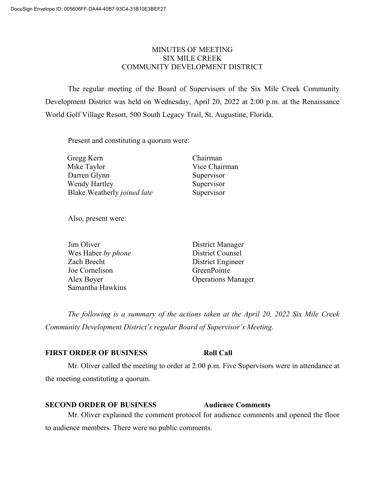# MINUTES OF MEETING SIX MILE CREEK COMMUNITY DEVELOPMENT DISTRICT

The regular meeting of the Board of Supervisors of the Six Mile Creek Community Development District was held on Wednesday, April 20, 2022 at 2:00 p.m. at the Renaissance World Golf Village Resort, 500 South Legacy Trail, St. Augustine, Florida.

Present and constituting a quorum were:

| Gregg Kern                  | Chairman      |
|-----------------------------|---------------|
| Mike Taylor                 | Vice Chairman |
| Darren Glynn                | Supervisor    |
| Wendy Hartley               | Supervisor    |
| Blake Weatherly joined late | Supervisor    |

Also, present were:

| Jim Oliver         | District Manager          |
|--------------------|---------------------------|
| Wes Haber by phone | <b>District Counsel</b>   |
| Zach Brecht        | District Engineer         |
| Joe Cornelison     | GreenPointe               |
| Alex Boyer         | <b>Operations Manager</b> |
| Samantha Hawkins   |                           |

*The following is a summary of the actions taken at the April 20, 2022 Six Mile Creek Community Development District's regular Board of Supervisor's Meeting.*

### **FIRST ORDER OF BUSINESS Roll Call**

Mr. Oliver called the meeting to order at 2:00 p.m. Five Supervisors were in attendance at the meeting constituting a quorum.

## **SECOND ORDER OF BUSINESS Audience Comments**

Mr. Oliver explained the comment protocol for audience comments and opened the floor to audience members. There were no public comments.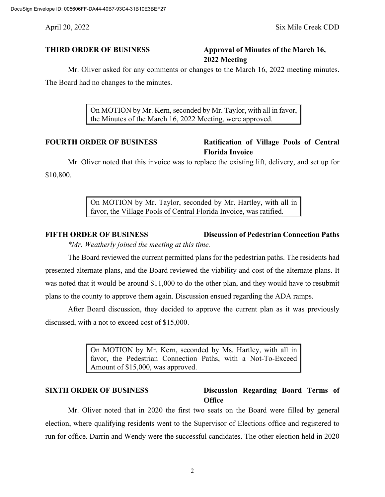April 20, 2022 Six Mile Creek CDD

# **THIRD ORDER OF BUSINESS Approval of Minutes of the March 16, 2022 Meeting**

Mr. Oliver asked for any comments or changes to the March 16, 2022 meeting minutes. The Board had no changes to the minutes.

> On MOTION by Mr. Kern, seconded by Mr. Taylor, with all in favor, the Minutes of the March 16, 2022 Meeting, were approved.

# **FOURTH ORDER OF BUSINESS Ratification of Village Pools of Central Florida Invoice**

Mr. Oliver noted that this invoice was to replace the existing lift, delivery, and set up for \$10,800.

> On MOTION by Mr. Taylor, seconded by Mr. Hartley, with all in favor, the Village Pools of Central Florida Invoice, was ratified.

# **FIFTH ORDER OF BUSINESS Discussion of Pedestrian Connection Paths** *\*Mr. Weatherly joined the meeting at this time.*

The Board reviewed the current permitted plans for the pedestrian paths. The residents had presented alternate plans, and the Board reviewed the viability and cost of the alternate plans. It was noted that it would be around \$11,000 to do the other plan, and they would have to resubmit plans to the county to approve them again. Discussion ensued regarding the ADA ramps.

After Board discussion, they decided to approve the current plan as it was previously discussed, with a not to exceed cost of \$15,000.

> On MOTION by Mr. Kern, seconded by Ms. Hartley, with all in favor, the Pedestrian Connection Paths, with a Not-To-Exceed Amount of \$15,000, was approved.

# **SIXTH ORDER OF BUSINESS Discussion Regarding Board Terms of Office**

Mr. Oliver noted that in 2020 the first two seats on the Board were filled by general election, where qualifying residents went to the Supervisor of Elections office and registered to run for office. Darrin and Wendy were the successful candidates. The other election held in 2020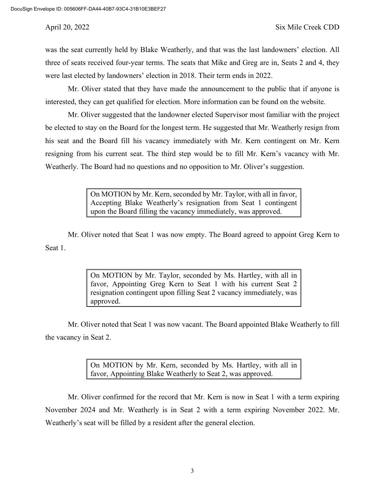was the seat currently held by Blake Weatherly, and that was the last landowners' election. All three of seats received four-year terms. The seats that Mike and Greg are in, Seats 2 and 4, they were last elected by landowners' election in 2018. Their term ends in 2022.

Mr. Oliver stated that they have made the announcement to the public that if anyone is interested, they can get qualified for election. More information can be found on the website.

Mr. Oliver suggested that the landowner elected Supervisor most familiar with the project be elected to stay on the Board for the longest term. He suggested that Mr. Weatherly resign from his seat and the Board fill his vacancy immediately with Mr. Kern contingent on Mr. Kern resigning from his current seat. The third step would be to fill Mr. Kern's vacancy with Mr. Weatherly. The Board had no questions and no opposition to Mr. Oliver's suggestion.

> On MOTION by Mr. Kern, seconded by Mr. Taylor, with all in favor, Accepting Blake Weatherly's resignation from Seat 1 contingent upon the Board filling the vacancy immediately, was approved.

Mr. Oliver noted that Seat 1 was now empty. The Board agreed to appoint Greg Kern to Seat 1.

> On MOTION by Mr. Taylor, seconded by Ms. Hartley, with all in favor, Appointing Greg Kern to Seat 1 with his current Seat 2 resignation contingent upon filling Seat 2 vacancy immediately, was approved.

Mr. Oliver noted that Seat 1 was now vacant. The Board appointed Blake Weatherly to fill the vacancy in Seat 2.

> On MOTION by Mr. Kern, seconded by Ms. Hartley, with all in favor, Appointing Blake Weatherly to Seat 2, was approved.

Mr. Oliver confirmed for the record that Mr. Kern is now in Seat 1 with a term expiring November 2024 and Mr. Weatherly is in Seat 2 with a term expiring November 2022. Mr. Weatherly's seat will be filled by a resident after the general election.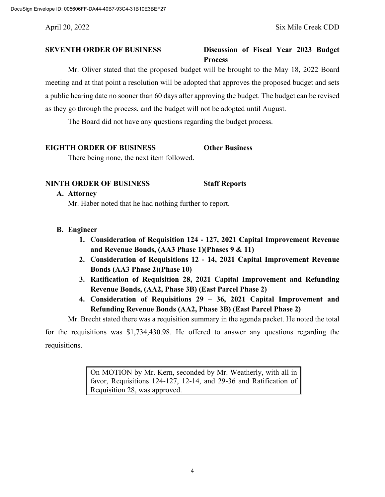## **SEVENTH ORDER OF BUSINESS Discussion of Fiscal Year 2023 Budget Process**

Mr. Oliver stated that the proposed budget will be brought to the May 18, 2022 Board meeting and at that point a resolution will be adopted that approves the proposed budget and sets a public hearing date no sooner than 60 days after approving the budget. The budget can be revised as they go through the process, and the budget will not be adopted until August.

The Board did not have any questions regarding the budget process.

# **EIGHTH ORDER OF BUSINESS Other Business**

There being none, the next item followed.

### **NINTH ORDER OF BUSINESS Staff Reports**

#### **A. Attorney**

Mr. Haber noted that he had nothing further to report.

# **B. Engineer**

- **1. Consideration of Requisition 124 - 127, 2021 Capital Improvement Revenue and Revenue Bonds, (AA3 Phase 1)(Phases 9 & 11)**
- **2. Consideration of Requisitions 12 - 14, 2021 Capital Improvement Revenue Bonds (AA3 Phase 2)(Phase 10)**
- **3. Ratification of Requisition 28, 2021 Capital Improvement and Refunding Revenue Bonds, (AA2, Phase 3B) (East Parcel Phase 2)**
- **4. Consideration of Requisitions 29 – 36, 2021 Capital Improvement and Refunding Revenue Bonds (AA2, Phase 3B) (East Parcel Phase 2)**

Mr. Brecht stated there was a requisition summary in the agenda packet. He noted the total

for the requisitions was \$1,734,430.98. He offered to answer any questions regarding the requisitions.

> On MOTION by Mr. Kern, seconded by Mr. Weatherly, with all in favor, Requisitions 124-127, 12-14, and 29-36 and Ratification of Requisition 28, was approved.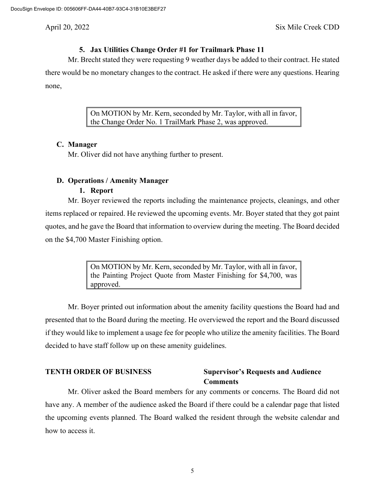# **5. Jax Utilities Change Order #1 for Trailmark Phase 11**

Mr. Brecht stated they were requesting 9 weather days be added to their contract. He stated there would be no monetary changes to the contract. He asked if there were any questions. Hearing none,

> On MOTION by Mr. Kern, seconded by Mr. Taylor, with all in favor, the Change Order No. 1 TrailMark Phase 2, was approved.

### **C. Manager**

Mr. Oliver did not have anything further to present.

# **D. Operations / Amenity Manager**

### **1. Report**

Mr. Boyer reviewed the reports including the maintenance projects, cleanings, and other items replaced or repaired. He reviewed the upcoming events. Mr. Boyer stated that they got paint quotes, and he gave the Board that information to overview during the meeting. The Board decided on the \$4,700 Master Finishing option.

> On MOTION by Mr. Kern, seconded by Mr. Taylor, with all in favor, the Painting Project Quote from Master Finishing for \$4,700, was approved.

Mr. Boyer printed out information about the amenity facility questions the Board had and presented that to the Board during the meeting. He overviewed the report and the Board discussed if they would like to implement a usage fee for people who utilize the amenity facilities. The Board decided to have staff follow up on these amenity guidelines.

### **TENTH ORDER OF BUSINESS Supervisor's Requests and Audience Comments**

Mr. Oliver asked the Board members for any comments or concerns. The Board did not have any. A member of the audience asked the Board if there could be a calendar page that listed the upcoming events planned. The Board walked the resident through the website calendar and how to access it.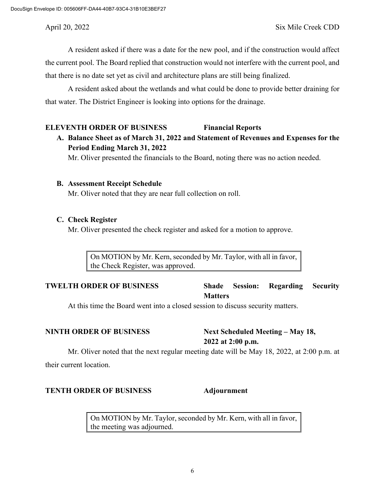A resident asked if there was a date for the new pool, and if the construction would affect the current pool. The Board replied that construction would not interfere with the current pool, and that there is no date set yet as civil and architecture plans are still being finalized.

A resident asked about the wetlands and what could be done to provide better draining for that water. The District Engineer is looking into options for the drainage.

#### **ELEVENTH ORDER OF BUSINESS Financial Reports**

# **A. Balance Sheet as of March 31, 2022 and Statement of Revenues and Expenses for the Period Ending March 31, 2022**

Mr. Oliver presented the financials to the Board, noting there was no action needed.

#### **B. Assessment Receipt Schedule**

Mr. Oliver noted that they are near full collection on roll.

#### **C. Check Register**

Mr. Oliver presented the check register and asked for a motion to approve.

On MOTION by Mr. Kern, seconded by Mr. Taylor, with all in favor, the Check Register, was approved.

# **TWELTH ORDER OF BUSINESS Shade Session: Regarding Security Matters**

At this time the Board went into a closed session to discuss security matters.

**NINTH ORDER OF BUSINESS Next Scheduled Meeting – May 18, 2022 at 2:00 p.m.**

Mr. Oliver noted that the next regular meeting date will be May 18, 2022, at 2:00 p.m. at their current location.

### **TENTH ORDER OF BUSINESS Adjournment**

On MOTION by Mr. Taylor, seconded by Mr. Kern, with all in favor, the meeting was adjourned.